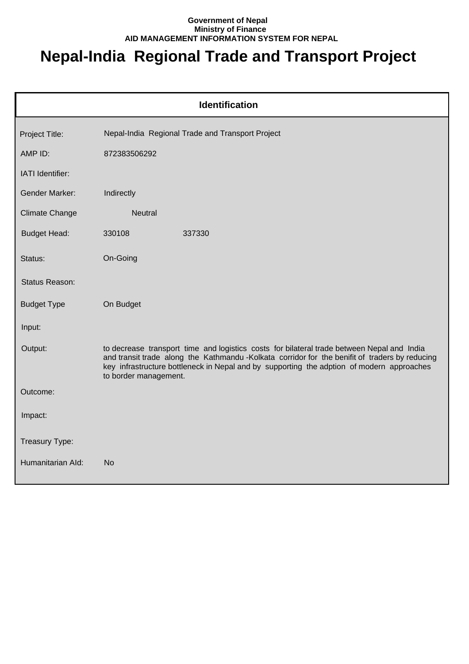## **Government of Nepal Ministry of Finance AID MANAGEMENT INFORMATION SYSTEM FOR NEPAL**

## **Nepal-India Regional Trade and Transport Project**

| <b>Identification</b> |                                                                                                                                                                                                                                                                                                                    |  |
|-----------------------|--------------------------------------------------------------------------------------------------------------------------------------------------------------------------------------------------------------------------------------------------------------------------------------------------------------------|--|
| Project Title:        | Nepal-India Regional Trade and Transport Project                                                                                                                                                                                                                                                                   |  |
| AMP ID:               | 872383506292                                                                                                                                                                                                                                                                                                       |  |
| IATI Identifier:      |                                                                                                                                                                                                                                                                                                                    |  |
| <b>Gender Marker:</b> | Indirectly                                                                                                                                                                                                                                                                                                         |  |
| <b>Climate Change</b> | <b>Neutral</b>                                                                                                                                                                                                                                                                                                     |  |
| <b>Budget Head:</b>   | 330108<br>337330                                                                                                                                                                                                                                                                                                   |  |
| Status:               | On-Going                                                                                                                                                                                                                                                                                                           |  |
| Status Reason:        |                                                                                                                                                                                                                                                                                                                    |  |
| <b>Budget Type</b>    | On Budget                                                                                                                                                                                                                                                                                                          |  |
| Input:                |                                                                                                                                                                                                                                                                                                                    |  |
| Output:               | to decrease transport time and logistics costs for bilateral trade between Nepal and India<br>and transit trade along the Kathmandu -Kolkata corridor for the benifit of traders by reducing<br>key infrastructure bottleneck in Nepal and by supporting the adption of modern approaches<br>to border management. |  |
| Outcome:              |                                                                                                                                                                                                                                                                                                                    |  |
| Impact:               |                                                                                                                                                                                                                                                                                                                    |  |
| Treasury Type:        |                                                                                                                                                                                                                                                                                                                    |  |
| Humanitarian Ald:     | <b>No</b>                                                                                                                                                                                                                                                                                                          |  |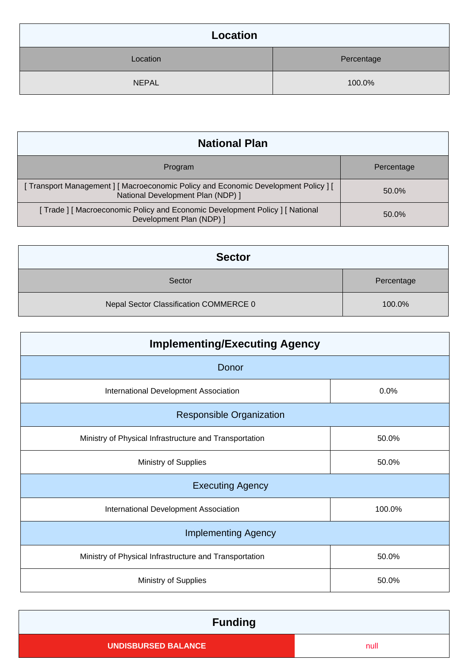| Location     |            |
|--------------|------------|
| Location     | Percentage |
| <b>NEPAL</b> | 100.0%     |

| <b>National Plan</b>                                                                                                   |            |
|------------------------------------------------------------------------------------------------------------------------|------------|
| Program                                                                                                                | Percentage |
| Transport Management ] [ Macroeconomic Policy and Economic Development Policy ] [<br>National Development Plan (NDP) 1 | 50.0%      |
| [Trade] [Macroeconomic Policy and Economic Development Policy] [National<br>Development Plan (NDP) 1                   | 50.0%      |

| <b>Sector</b>                          |            |
|----------------------------------------|------------|
| Sector                                 | Percentage |
| Nepal Sector Classification COMMERCE 0 | 100.0%     |

| <b>Implementing/Executing Agency</b>                   |        |  |  |
|--------------------------------------------------------|--------|--|--|
| Donor                                                  |        |  |  |
| International Development Association                  | 0.0%   |  |  |
| <b>Responsible Organization</b>                        |        |  |  |
| Ministry of Physical Infrastructure and Transportation | 50.0%  |  |  |
| Ministry of Supplies                                   | 50.0%  |  |  |
| <b>Executing Agency</b>                                |        |  |  |
| International Development Association                  | 100.0% |  |  |
| <b>Implementing Agency</b>                             |        |  |  |
| Ministry of Physical Infrastructure and Transportation | 50.0%  |  |  |
| <b>Ministry of Supplies</b>                            | 50.0%  |  |  |

| <b>Funding</b>             |      |
|----------------------------|------|
| <b>UNDISBURSED BALANCE</b> | null |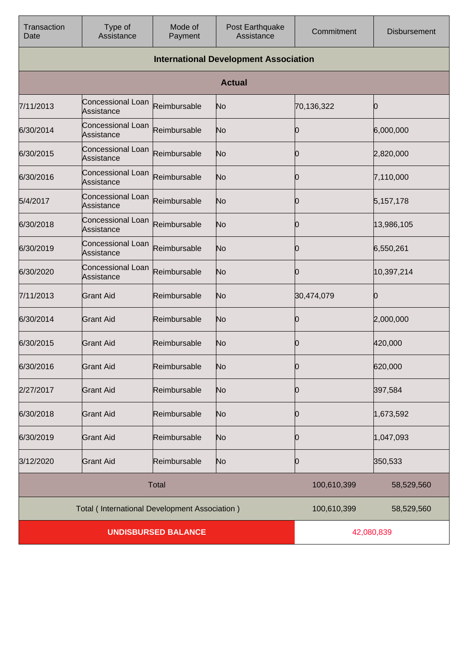| Transaction<br>Date        | Type of<br>Assistance                         | Mode of<br>Payment | Post Earthquake<br>Assistance | Commitment  | <b>Disbursement</b> |
|----------------------------|-----------------------------------------------|--------------------|-------------------------------|-------------|---------------------|
|                            | <b>International Development Association</b>  |                    |                               |             |                     |
|                            |                                               |                    | <b>Actual</b>                 |             |                     |
| 7/11/2013                  | Concessional Loan<br>Assistance               | Reimbursable       | No                            | 70,136,322  | Ю                   |
| 6/30/2014                  | Concessional Loan<br>Assistance               | Reimbursable       | No                            | O           | 6,000,000           |
| 6/30/2015                  | Concessional Loan<br>Assistance               | Reimbursable       | No                            | 0           | 2,820,000           |
| 6/30/2016                  | Concessional Loan<br>Assistance               | Reimbursable       | No                            | Ю           | 7,110,000           |
| 5/4/2017                   | Concessional Loan<br>Assistance               | Reimbursable       | No                            |             | 5,157,178           |
| 6/30/2018                  | <b>Concessional Loan</b><br>Assistance        | Reimbursable       | No                            | Ю           | 13,986,105          |
| 6/30/2019                  | Concessional Loan<br>Assistance               | Reimbursable       | No                            | O           | 6,550,261           |
| 6/30/2020                  | Concessional Loan<br>Assistance               | Reimbursable       | No                            | Ю           | 10,397,214          |
| 7/11/2013                  | <b>Grant Aid</b>                              | Reimbursable       | No                            | 30,474,079  | Ю                   |
| 6/30/2014                  | <b>Grant Aid</b>                              | Reimbursable       | No                            | Ю           | 2,000,000           |
| 6/30/2015                  | <b>Grant Aid</b>                              | Reimbursable       | No                            | O           | 420,000             |
| 6/30/2016                  | Grant Aid                                     | Reimbursable       | No                            | Ŋ           | 620,000             |
| 2/27/2017                  | <b>Grant Aid</b>                              | Reimbursable       | No                            | 0           | 397,584             |
| 6/30/2018                  | <b>Grant Aid</b>                              | Reimbursable       | No                            | O           | 1,673,592           |
| 6/30/2019                  | <b>Grant Aid</b>                              | Reimbursable       | No                            | 0           | 1,047,093           |
| 3/12/2020                  | <b>Grant Aid</b>                              | Reimbursable       | No                            | 0           | 350,533             |
| <b>Total</b>               |                                               |                    | 100,610,399                   | 58,529,560  |                     |
|                            | Total (International Development Association) |                    |                               | 100,610,399 | 58,529,560          |
| <b>UNDISBURSED BALANCE</b> |                                               |                    | 42,080,839                    |             |                     |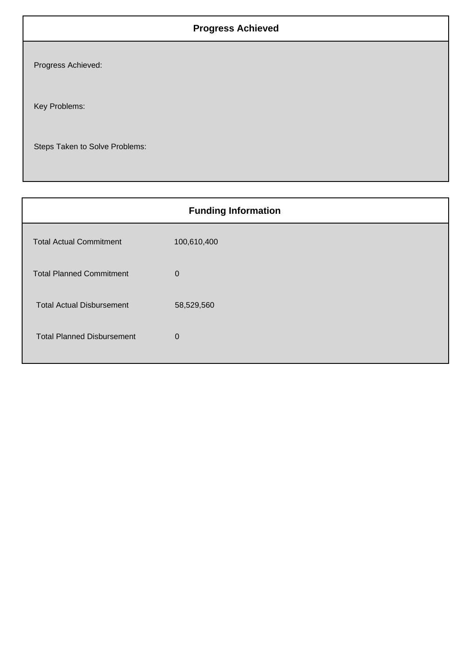## **Progress Achieved**

Progress Achieved:

Key Problems:

Steps Taken to Solve Problems:

| <b>Funding Information</b>        |              |  |
|-----------------------------------|--------------|--|
| <b>Total Actual Commitment</b>    | 100,610,400  |  |
| <b>Total Planned Commitment</b>   | $\mathbf 0$  |  |
| <b>Total Actual Disbursement</b>  | 58,529,560   |  |
| <b>Total Planned Disbursement</b> | $\mathbf{0}$ |  |
|                                   |              |  |